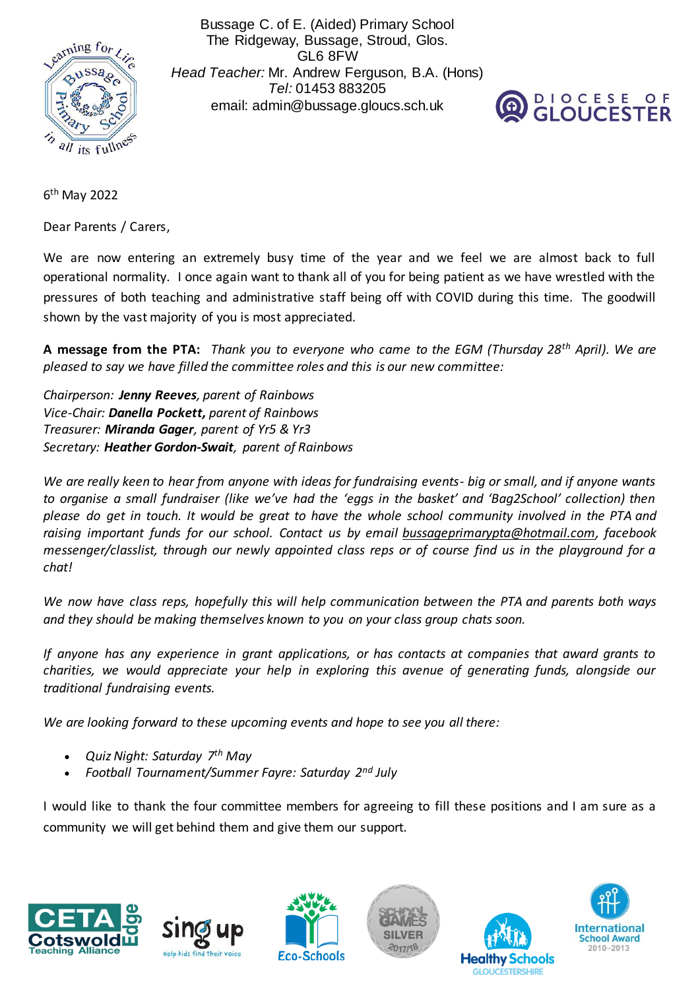

Bussage C. of E. (Aided) Primary School The Ridgeway, Bussage, Stroud, Glos. GL6 8FW *Head Teacher:* Mr. Andrew Ferguson, B.A. (Hons) *Tel:* 01453 883205 email: admin@bussage.gloucs.sch.uk



6<sup>th</sup> May 2022

Dear Parents / Carers,

We are now entering an extremely busy time of the year and we feel we are almost back to full operational normality. I once again want to thank all of you for being patient as we have wrestled with the pressures of both teaching and administrative staff being off with COVID during this time. The goodwill shown by the vast majority of you is most appreciated.

**A message from the PTA:** *Thank you to everyone who came to the EGM (Thursday 28th April). We are pleased to say we have filled the committee roles and this is our new committee:*

*Chairperson: Jenny Reeves, parent of Rainbows Vice-Chair: Danella Pockett, parent of Rainbows Treasurer: Miranda Gager, parent of Yr5 & Yr3 Secretary: Heather Gordon-Swait, parent of Rainbows*

*We are really keen to hear from anyone with ideas for fundraising events- big or small, and if anyone wants to organise a small fundraiser (like we've had the 'eggs in the basket' and 'Bag2School' collection) then please do get in touch. It would be great to have the whole school community involved in the PTA and raising important funds for our school. Contact us by email [bussageprimarypta@hotmail.com,](mailto:bussageprimarypta@hotmail.com) facebook messenger/classlist, through our newly appointed class reps or of course find us in the playground for a chat!*

*We now have class reps, hopefully this will help communication between the PTA and parents both ways and they should be making themselves known to you on your class group chats soon.*

*If anyone has any experience in grant applications, or has contacts at companies that award grants to charities, we would appreciate your help in exploring this avenue of generating funds, alongside our traditional fundraising events.*

*We are looking forward to these upcoming events and hope to see you all there:*

- *Quiz Night: Saturday 7th May*
- *Football Tournament/Summer Fayre: Saturday 2nd July*

I would like to thank the four committee members for agreeing to fill these positions and I am sure as a community we will get behind them and give them our support.